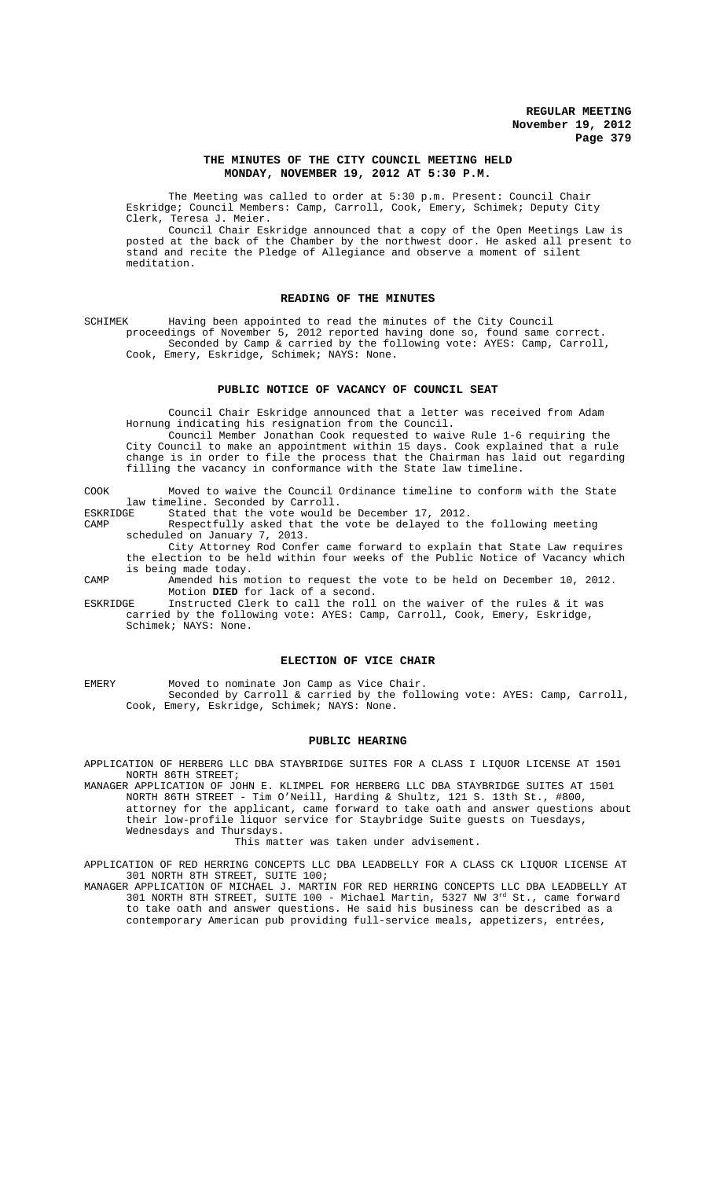### **THE MINUTES OF THE CITY COUNCIL MEETING HELD MONDAY, NOVEMBER 19, 2012 AT 5:30 P.M.**

The Meeting was called to order at 5:30 p.m. Present: Council Chair Eskridge; Council Members: Camp, Carroll, Cook, Emery, Schimek; Deputy City Clerk, Teresa J. Meier.

Council Chair Eskridge announced that a copy of the Open Meetings Law is posted at the back of the Chamber by the northwest door. He asked all present to stand and recite the Pledge of Allegiance and observe a moment of silent meditation.

## **READING OF THE MINUTES**

SCHIMEK Having been appointed to read the minutes of the City Council proceedings of November 5, 2012 reported having done so, found same correct. Seconded by Camp & carried by the following vote: AYES: Camp, Carroll, Cook, Emery, Eskridge, Schimek; NAYS: None.

## **PUBLIC NOTICE OF VACANCY OF COUNCIL SEAT**

Council Chair Eskridge announced that a letter was received from Adam Hornung indicating his resignation from the Council.

Council Member Jonathan Cook requested to waive Rule 1-6 requiring the City Council to make an appointment within 15 days. Cook explained that a rule change is in order to file the process that the Chairman has laid out regarding filling the vacancy in conformance with the State law timeline.

COOK Moved to waive the Council Ordinance timeline to conform with the State law timeline. Seconded by Carroll.<br>ESKRIDGE Stated that the vote would

ESKRIDGE Stated that the vote would be December 17, 2012.<br>CAMP Respectfully asked that the vote be delayed to t

Respectfully asked that the vote be delayed to the following meeting scheduled on January 7, 2013.

City Attorney Rod Confer came forward to explain that State Law requires the election to be held within four weeks of the Public Notice of Vacancy which is being made today.

CAMP Amended his motion to request the vote to be held on December 10, 2012. Motion **DIED** for lack of a second.

ESKRIDGE Instructed Clerk to call the roll on the waiver of the rules & it was carried by the following vote: AYES: Camp, Carroll, Cook, Emery, Eskridge, Schimek; NAYS: None.

### **ELECTION OF VICE CHAIR**

EMERY Moved to nominate Jon Camp as Vice Chair. Seconded by Carroll & carried by the following vote: AYES: Camp, Carroll, Cook, Emery, Eskridge, Schimek; NAYS: None.

### **PUBLIC HEARING**

APPLICATION OF HERBERG LLC DBA STAYBRIDGE SUITES FOR A CLASS I LIQUOR LICENSE AT 1501 NORTH 86TH STREET;

MANAGER APPLICATION OF JOHN E. KLIMPEL FOR HERBERG LLC DBA STAYBRIDGE SUITES AT 1501 NORTH 86TH STREET - Tim O'Neill, Harding & Shultz, 121 S. 13th St., #800, attorney for the applicant, came forward to take oath and answer questions about their low-profile liquor service for Staybridge Suite guests on Tuesdays, Wednesdays and Thursdays.

This matter was taken under advisement.

APPLICATION OF RED HERRING CONCEPTS LLC DBA LEADBELLY FOR A CLASS CK LIQUOR LICENSE AT 301 NORTH 8TH STREET, SUITE 100;

MANAGER APPLICATION OF MICHAEL J. MARTIN FOR RED HERRING CONCEPTS LLC DBA LEADBELLY AT 301 NORTH 8TH STREET, SUITE 100 - Michael Martin, 5327 NW 3rd St., came forward to take oath and answer questions. He said his business can be described as a contemporary American pub providing full-service meals, appetizers, entrées,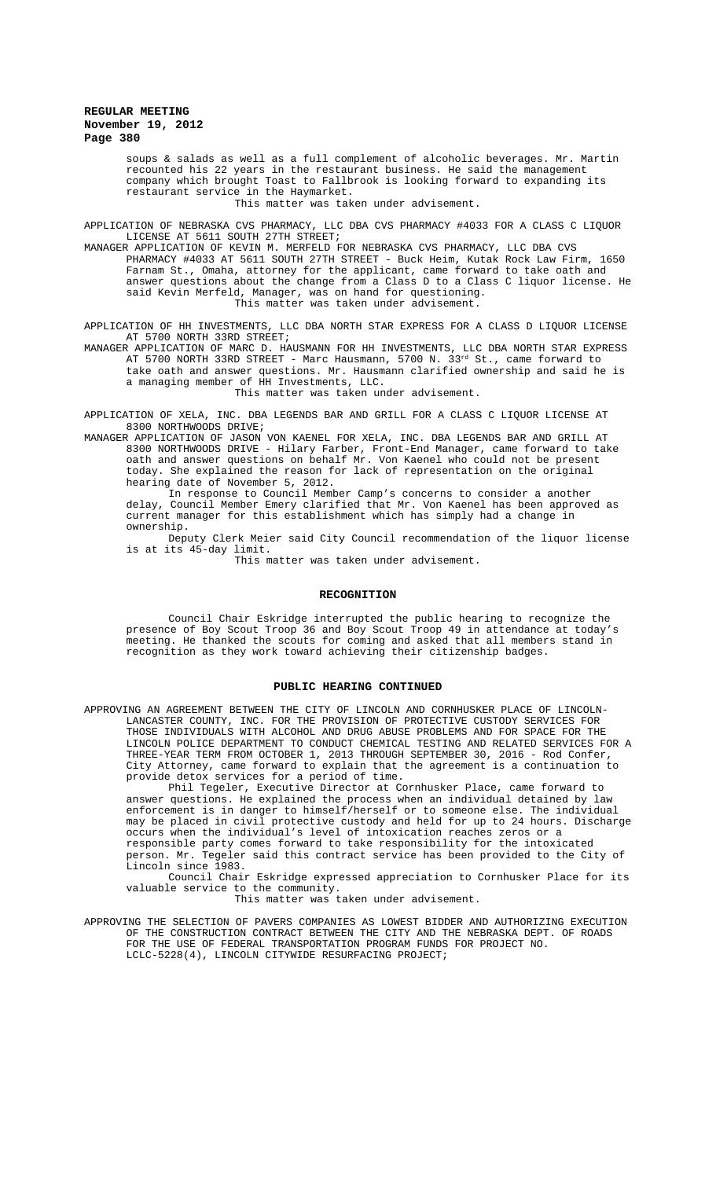soups & salads as well as a full complement of alcoholic beverages. Mr. Martin recounted his 22 years in the restaurant business. He said the management company which brought Toast to Fallbrook is looking forward to expanding its restaurant service in the Haymarket.

This matter was taken under advisement.

APPLICATION OF NEBRASKA CVS PHARMACY, LLC DBA CVS PHARMACY #4033 FOR A CLASS C LIQUOR LICENSE AT 5611 SOUTH 27TH STREET;

MANAGER APPLICATION OF KEVIN M. MERFELD FOR NEBRASKA CVS PHARMACY, LLC DBA CVS PHARMACY #4033 AT 5611 SOUTH 27TH STREET - Buck Heim, Kutak Rock Law Firm, 1650 Farnam St., Omaha, attorney for the applicant, came forward to take oath and answer questions about the change from a Class D to a Class C liquor license. He said Kevin Merfeld, Manager, was on hand for questioning. This matter was taken under advisement.

APPLICATION OF HH INVESTMENTS, LLC DBA NORTH STAR EXPRESS FOR A CLASS D LIQUOR LICENSE AT 5700 NORTH 33RD STREET;

MANAGER APPLICATION OF MARC D. HAUSMANN FOR HH INVESTMENTS, LLC DBA NORTH STAR EXPRESS AT 5700 NORTH 33RD STREET - Marc Hausmann, 5700 N. 33 $^{\rm rd}$  St., came forward to take oath and answer questions. Mr. Hausmann clarified ownership and said he is a managing member of HH Investments, LLC. This matter was taken under advisement.

APPLICATION OF XELA, INC. DBA LEGENDS BAR AND GRILL FOR A CLASS C LIQUOR LICENSE AT 8300 NORTHWOODS DRIVE;

MANAGER APPLICATION OF JASON VON KAENEL FOR XELA, INC. DBA LEGENDS BAR AND GRILL AT 8300 NORTHWOODS DRIVE - Hilary Farber, Front-End Manager, came forward to take oath and answer questions on behalf Mr. Von Kaenel who could not be present today. She explained the reason for lack of representation on the original hearing date of November 5, 2012.

In response to Council Member Camp's concerns to consider a another delay, Council Member Emery clarified that Mr. Von Kaenel has been approved as current manager for this establishment which has simply had a change in ownership.

Deputy Clerk Meier said City Council recommendation of the liquor license is at its 45-day limit.

This matter was taken under advisement.

#### **RECOGNITION**

Council Chair Eskridge interrupted the public hearing to recognize the presence of Boy Scout Troop 36 and Boy Scout Troop 49 in attendance at today's meeting. He thanked the scouts for coming and asked that all members stand in recognition as they work toward achieving their citizenship badges.

#### **PUBLIC HEARING CONTINUED**

APPROVING AN AGREEMENT BETWEEN THE CITY OF LINCOLN AND CORNHUSKER PLACE OF LINCOLN-LANCASTER COUNTY, INC. FOR THE PROVISION OF PROTECTIVE CUSTODY SERVICES FOR THOSE INDIVIDUALS WITH ALCOHOL AND DRUG ABUSE PROBLEMS AND FOR SPACE FOR THE LINCOLN POLICE DEPARTMENT TO CONDUCT CHEMICAL TESTING AND RELATED SERVICES FOR A THREE-YEAR TERM FROM OCTOBER 1, 2013 THROUGH SEPTEMBER 30, 2016 - Rod Confer, City Attorney, came forward to explain that the agreement is a continuation to provide detox services for a period of time.

Phil Tegeler, Executive Director at Cornhusker Place, came forward to answer questions. He explained the process when an individual detained by law enforcement is in danger to himself/herself or to someone else. The individual may be placed in civil protective custody and held for up to 24 hours. Discharge occurs when the individual's level of intoxication reaches zeros or a responsible party comes forward to take responsibility for the intoxicated person. Mr. Tegeler said this contract service has been provided to the City of Lincoln since 1983.

Council Chair Eskridge expressed appreciation to Cornhusker Place for its valuable service to the community.

This matter was taken under advisement.

APPROVING THE SELECTION OF PAVERS COMPANIES AS LOWEST BIDDER AND AUTHORIZING EXECUTION OF THE CONSTRUCTION CONTRACT BETWEEN THE CITY AND THE NEBRASKA DEPT. OF ROADS FOR THE USE OF FEDERAL TRANSPORTATION PROGRAM FUNDS FOR PROJECT NO. LCLC-5228(4), LINCOLN CITYWIDE RESURFACING PROJECT;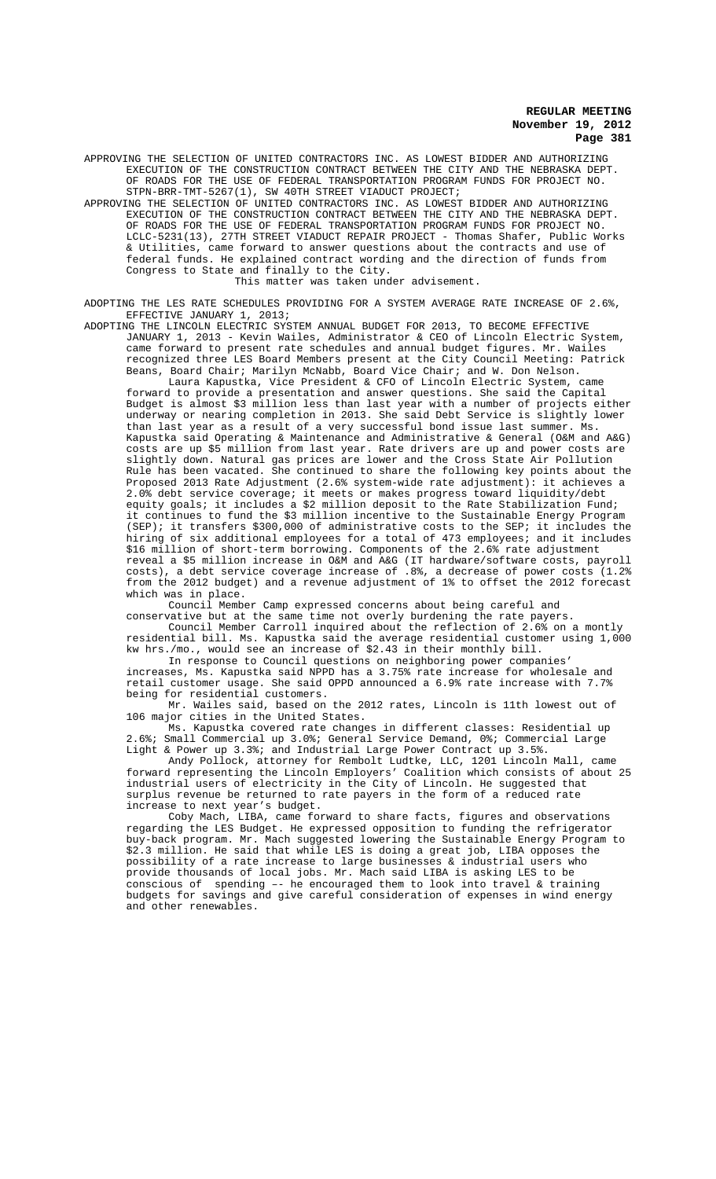APPROVING THE SELECTION OF UNITED CONTRACTORS INC. AS LOWEST BIDDER AND AUTHORIZING EXECUTION OF THE CONSTRUCTION CONTRACT BETWEEN THE CITY AND THE NEBRASKA DEPT. OF ROADS FOR THE USE OF FEDERAL TRANSPORTATION PROGRAM FUNDS FOR PROJECT NO. STPN-BRR-TMT-5267(1), SW 40TH STREET VIADUCT PROJECT;

APPROVING THE SELECTION OF UNITED CONTRACTORS INC. AS LOWEST BIDDER AND AUTHORIZING EXECUTION OF THE CONSTRUCTION CONTRACT BETWEEN THE CITY AND THE NEBRASKA DEPT. OF ROADS FOR THE USE OF FEDERAL TRANSPORTATION PROGRAM FUNDS FOR PROJECT NO. LCLC-5231(13), 27TH STREET VIADUCT REPAIR PROJECT - Thomas Shafer, Public Works & Utilities, came forward to answer questions about the contracts and use of federal funds. He explained contract wording and the direction of funds from Congress to State and finally to the City.

This matter was taken under advisement.

ADOPTING THE LES RATE SCHEDULES PROVIDING FOR A SYSTEM AVERAGE RATE INCREASE OF 2.6%, EFFECTIVE JANUARY 1, 2013;

ADOPTING THE LINCOLN ELECTRIC SYSTEM ANNUAL BUDGET FOR 2013, TO BECOME EFFECTIVE JANUARY 1, 2013 - Kevin Wailes, Administrator & CEO of Lincoln Electric System, came forward to present rate schedules and annual budget figures. Mr. Wailes recognized three LES Board Members present at the City Council Meeting: Patrick Beans, Board Chair; Marilyn McNabb, Board Vice Chair; and W. Don Nelson.

Laura Kapustka, Vice President & CFO of Lincoln Electric System, came forward to provide a presentation and answer questions. She said the Capital Budget is almost \$3 million less than last year with a number of projects either underway or nearing completion in 2013. She said Debt Service is slightly lower than last year as a result of a very successful bond issue last summer. Ms. Kapustka said Operating & Maintenance and Administrative & General (O&M and A&G) costs are up \$5 million from last year. Rate drivers are up and power costs are slightly down. Natural gas prices are lower and the Cross State Air Pollution Rule has been vacated. She continued to share the following key points about the Proposed 2013 Rate Adjustment (2.6% system-wide rate adjustment): it achieves a 2.0% debt service coverage; it meets or makes progress toward liquidity/debt equity goals; it includes a \$2 million deposit to the Rate Stabilization Fund; it continues to fund the \$3 million incentive to the Sustainable Energy Program (SEP); it transfers \$300,000 of administrative costs to the SEP; it includes the hiring of six additional employees for a total of 473 employees; and it includes \$16 million of short-term borrowing. Components of the 2.6% rate adjustment reveal a \$5 million increase in O&M and A&G (IT hardware/software costs, payroll costs), a debt service coverage increase of .8%, a decrease of power costs (1.2% from the 2012 budget) and a revenue adjustment of 1% to offset the 2012 forecast which was in place.

Council Member Camp expressed concerns about being careful and

conservative but at the same time not overly burdening the rate payers. Council Member Carroll inquired about the reflection of 2.6% on a montly residential bill. Ms. Kapustka said the average residential customer using 1,000 kw hrs./mo., would see an increase of \$2.43 in their monthly bill.

In response to Council questions on neighboring power companies' increases, Ms. Kapustka said NPPD has a 3.75% rate increase for wholesale and retail customer usage. She said OPPD announced a 6.9% rate increase with 7.7% being for residential customers.

Mr. Wailes said, based on the 2012 rates, Lincoln is 11th lowest out of 106 major cities in the United States.

Ms. Kapustka covered rate changes in different classes: Residential up 2.6%; Small Commercial up 3.0%; General Service Demand, 0%; Commercial Large Light & Power up 3.3%; and Industrial Large Power Contract up 3.5%.

Andy Pollock, attorney for Rembolt Ludtke, LLC, 1201 Lincoln Mall, came forward representing the Lincoln Employers' Coalition which consists of about 25 industrial users of electricity in the City of Lincoln. He suggested that surplus revenue be returned to rate payers in the form of a reduced rate increase to next year's budget.

Coby Mach, LIBA, came forward to share facts, figures and observations regarding the LES Budget. He expressed opposition to funding the refrigerator buy-back program. Mr. Mach suggested lowering the Sustainable Energy Program to \$2.3 million. He said that while LES is doing a great job, LIBA opposes the possibility of a rate increase to large businesses & industrial users who provide thousands of local jobs. Mr. Mach said LIBA is asking LES to be conscious of spending –- he encouraged them to look into travel & training budgets for savings and give careful consideration of expenses in wind energy and other renewables.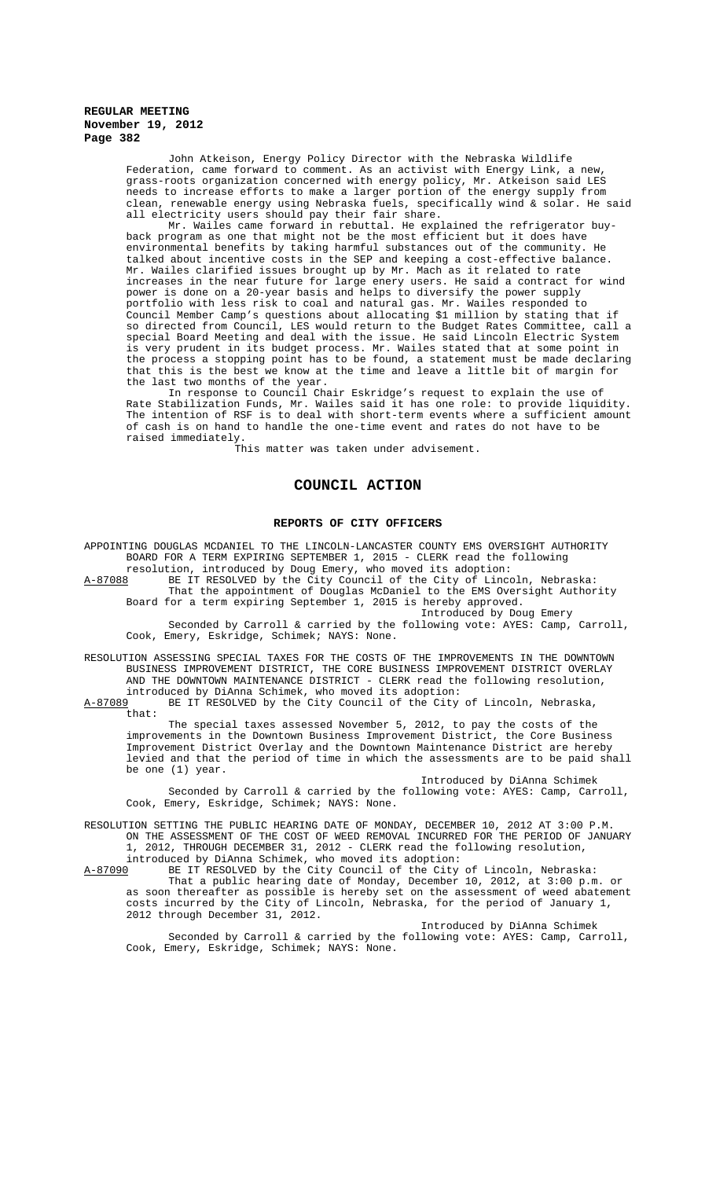John Atkeison, Energy Policy Director with the Nebraska Wildlife Federation, came forward to comment. As an activist with Energy Link, a new grass-roots organization concerned with energy policy, Mr. Atkeison said LES needs to increase efforts to make a larger portion of the energy supply from clean, renewable energy using Nebraska fuels, specifically wind & solar. He said all electricity users should pay their fair share.

Mr. Wailes came forward in rebuttal. He explained the refrigerator buyback program as one that might not be the most efficient but it does have environmental benefits by taking harmful substances out of the community. talked about incentive costs in the SEP and keeping a cost-effective balance. Mr. Wailes clarified issues brought up by Mr. Mach as it related to rate increases in the near future for large enery users. He said a contract for wind power is done on a 20-year basis and helps to diversify the power supply portfolio with less risk to coal and natural gas. Mr. Wailes responded to Council Member Camp's questions about allocating \$1 million by stating that if so directed from Council, LES would return to the Budget Rates Committee, call a special Board Meeting and deal with the issue. He said Lincoln Electric System is very prudent in its budget process. Mr. Wailes stated that at some point in the process a stopping point has to be found, a statement must be made declaring that this is the best we know at the time and leave a little bit of margin for the last two months of the year.

In response to Council Chair Eskridge's request to explain the use of Rate Stabilization Funds, Mr. Wailes said it has one role: to provide liquidity. The intention of RSF is to deal with short-term events where a sufficient amount of cash is on hand to handle the one-time event and rates do not have to be raised immediately.

This matter was taken under advisement.

### **COUNCIL ACTION**

### **REPORTS OF CITY OFFICERS**

APPOINTING DOUGLAS MCDANIEL TO THE LINCOLN-LANCASTER COUNTY EMS OVERSIGHT AUTHORITY BOARD FOR A TERM EXPIRING SEPTEMBER 1, 2015 - CLERK read the following resolution, introduced by Doug Emery, who moved its adoption:

A-87088 BE IT RESOLVED by the City Council of the City of Lincoln, Nebraska: That the appointment of Douglas McDaniel to the EMS Oversight Authority Board for a term expiring September 1, 2015 is hereby approved.

Introduced by Doug Emery Seconded by Carroll & carried by the following vote: AYES: Camp, Carroll, Cook, Emery, Eskridge, Schimek; NAYS: None.

RESOLUTION ASSESSING SPECIAL TAXES FOR THE COSTS OF THE IMPROVEMENTS IN THE DOWNTOWN BUSINESS IMPROVEMENT DISTRICT, THE CORE BUSINESS IMPROVEMENT DISTRICT OVERLAY AND THE DOWNTOWN MAINTENANCE DISTRICT - CLERK read the following resolution,

introduced by DiAnna Schimek, who moved its adoption:<br>A-87089 BE IT RESOLVED by the City Council of the City BE IT RESOLVED by the City Council of the City of Lincoln, Nebraska, that:

The special taxes assessed November 5, 2012, to pay the costs of the improvements in the Downtown Business Improvement District, the Core Business Improvement District Overlay and the Downtown Maintenance District are hereby levied and that the period of time in which the assessments are to be paid shall be one (1) year.

Introduced by DiAnna Schimek

Seconded by Carroll & carried by the following vote: AYES: Camp, Carroll, Cook, Emery, Eskridge, Schimek; NAYS: None.

RESOLUTION SETTING THE PUBLIC HEARING DATE OF MONDAY, DECEMBER 10, 2012 AT 3:00 P.M. ON THE ASSESSMENT OF THE COST OF WEED REMOVAL INCURRED FOR THE PERIOD OF JANUARY 1, 2012, THROUGH DECEMBER 31, 2012 - CLERK read the following resolution,

introduced by DiAnna Schimek, who moved its adoption:<br>A-87090 BE IT RESOLVED by the City Council of the City A-87090 BE IT RESOLVED by the City Council of the City of Lincoln, Nebraska: That a public hearing date of Monday, December 10, 2012, at 3:00 p.m. or as soon thereafter as possible is hereby set on the assessment of weed abatement costs incurred by the City of Lincoln, Nebraska, for the period of January 1, 2012 through December 31, 2012.

Introduced by DiAnna Schimek Seconded by Carroll & carried by the following vote: AYES: Camp, Carroll, Cook, Emery, Eskridge, Schimek; NAYS: None.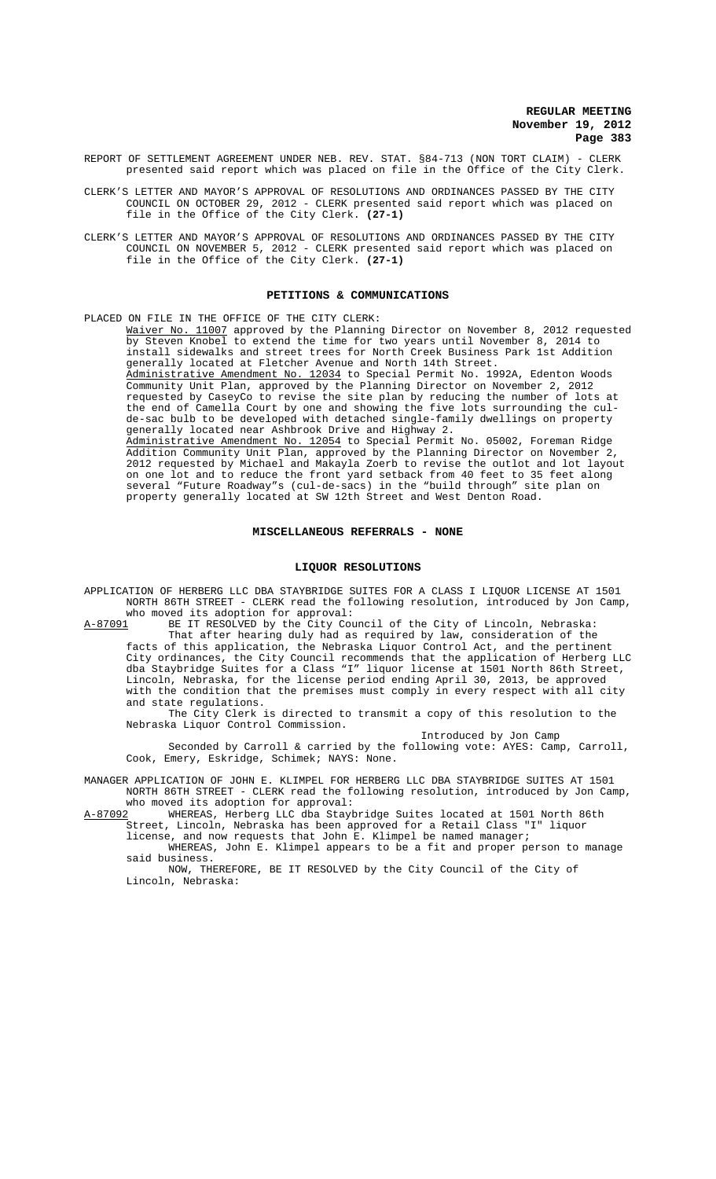REPORT OF SETTLEMENT AGREEMENT UNDER NEB. REV. STAT. §84-713 (NON TORT CLAIM) - CLERK presented said report which was placed on file in the Office of the City Clerk.

- CLERK'S LETTER AND MAYOR'S APPROVAL OF RESOLUTIONS AND ORDINANCES PASSED BY THE CITY COUNCIL ON OCTOBER 29, 2012 - CLERK presented said report which was placed on file in the Office of the City Clerk. **(27-1)**
- CLERK'S LETTER AND MAYOR'S APPROVAL OF RESOLUTIONS AND ORDINANCES PASSED BY THE CITY COUNCIL ON NOVEMBER 5, 2012 - CLERK presented said report which was placed on file in the Office of the City Clerk. **(27-1)**

### **PETITIONS & COMMUNICATIONS**

PLACED ON FILE IN THE OFFICE OF THE CITY CLERK:

Waiver No. 11007 approved by the Planning Director on November 8, 2012 requested by Steven Knobel to extend the time for two years until November 8, 2014 to install sidewalks and street trees for North Creek Business Park 1st Addition generally located at Fletcher Avenue and North 14th Street. Administrative Amendment No. 12034 to Special Permit No. 1992A, Edenton Woods Community Unit Plan, approved by the Planning Director on November 2, 2012 requested by CaseyCo to revise the site plan by reducing the number of lots at the end of Camella Court by one and showing the five lots surrounding the culde-sac bulb to be developed with detached single-family dwellings on property generally located near Ashbrook Drive and Highway 2. Administrative Amendment No. 12054 to Special Permit No. 05002, Foreman Ridge Addition Community Unit Plan, approved by the Planning Director on November 2, 2012 requested by Michael and Makayla Zoerb to revise the outlot and lot layout on one lot and to reduce the front yard setback from 40 feet to 35 feet along several "Future Roadway"s (cul-de-sacs) in the "build through" site plan on property generally located at SW 12th Street and West Denton Road.

### **MISCELLANEOUS REFERRALS - NONE**

#### **LIQUOR RESOLUTIONS**

APPLICATION OF HERBERG LLC DBA STAYBRIDGE SUITES FOR A CLASS I LIQUOR LICENSE AT 1501 NORTH 86TH STREET - CLERK read the following resolution, introduced by Jon Camp, who moved its adoption for approval:<br>A-87091 BE IT RESOLVED by the City Cou

BE IT RESOLVED by the City Council of the City of Lincoln, Nebraska: That after hearing duly had as required by law, consideration of the facts of this application, the Nebraska Liquor Control Act, and the pertinent City ordinances, the City Council recommends that the application of Herberg LLC dba Staybridge Suites for a Class "I" liquor license at 1501 North 86th Street, Lincoln, Nebraska, for the license period ending April 30, 2013, be approved with the condition that the premises must comply in every respect with all city and state regulations.

The City Clerk is directed to transmit a copy of this resolution to the Nebraska Liquor Control Commission.

Introduced by Jon Camp

Seconded by Carroll & carried by the following vote: AYES: Camp, Carroll, Cook, Emery, Eskridge, Schimek; NAYS: None.

MANAGER APPLICATION OF JOHN E. KLIMPEL FOR HERBERG LLC DBA STAYBRIDGE SUITES AT 1501 NORTH 86TH STREET - CLERK read the following resolution, introduced by Jon Camp, who moved its adoption for approval:

A-87092 WHEREAS, Herberg LLC dba Staybridge Suites located at 1501 North 86th Street, Lincoln, Nebraska has been approved for a Retail Class "I" liquor

license, and now requests that John E. Klimpel be named manager; WHEREAS, John E. Klimpel appears to be a fit and proper person to manage

said business. NOW, THEREFORE, BE IT RESOLVED by the City Council of the City of Lincoln, Nebraska: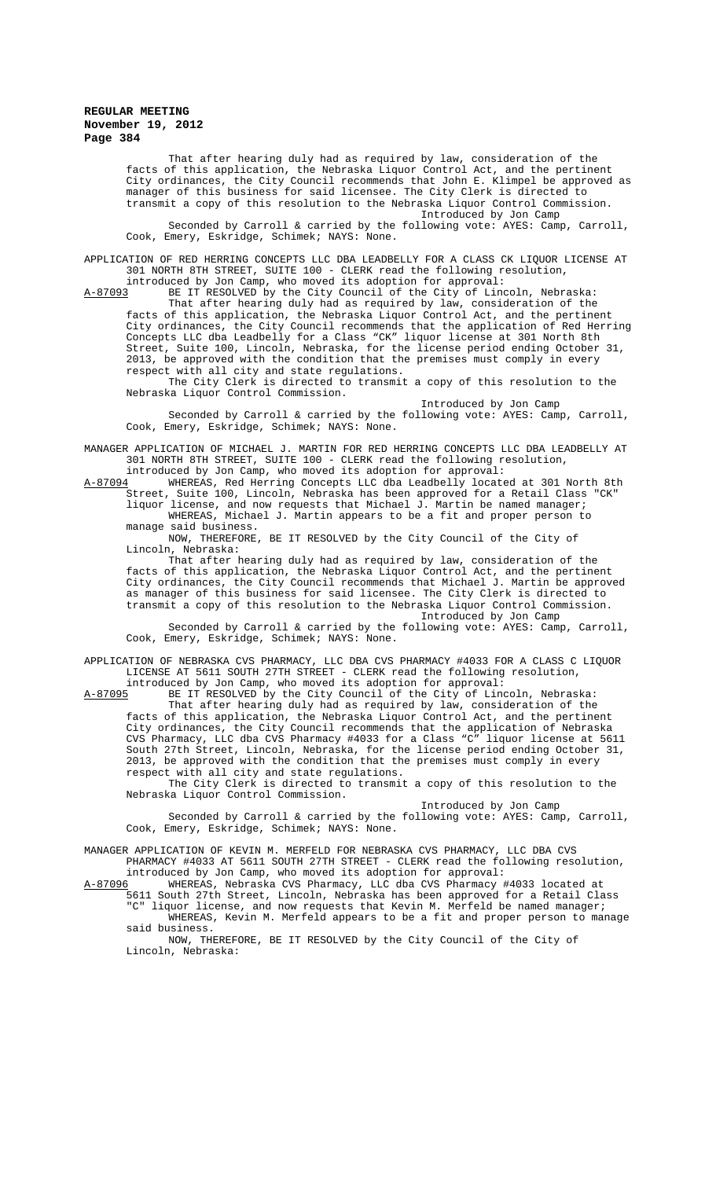That after hearing duly had as required by law, consideration of the facts of this application, the Nebraska Liquor Control Act, and the pertinent City ordinances, the City Council recommends that John E. Klimpel be approved as manager of this business for said licensee. The City Clerk is directed to transmit a copy of this resolution to the Nebraska Liquor Control Commission.

Introduced by Jon Camp Seconded by Carroll & carried by the following vote: AYES: Camp, Carroll, Cook, Emery, Eskridge, Schimek; NAYS: None.

APPLICATION OF RED HERRING CONCEPTS LLC DBA LEADBELLY FOR A CLASS CK LIQUOR LICENSE AT 301 NORTH 8TH STREET, SUITE 100 - CLERK read the following resolution,

introduced by Jon Camp, who moved its adoption for approval:

A-87093 BE IT RESOLVED by the City Council of the City of Lincoln, Nebraska: That after hearing duly had as required by law, consideration of the facts of this application, the Nebraska Liquor Control Act, and the pertinent City ordinances, the City Council recommends that the application of Red Herring Concepts LLC dba Leadbelly for a Class "CK" liquor license at 301 North 8th Street, Suite 100, Lincoln, Nebraska, for the license period ending October 31, 2013, be approved with the condition that the premises must comply in every respect with all city and state regulations.

The City Clerk is directed to transmit a copy of this resolution to the Nebraska Liquor Control Commission.

Introduced by Jon Camp Seconded by Carroll & carried by the following vote: AYES: Camp, Carroll, Cook, Emery, Eskridge, Schimek; NAYS: None.

MANAGER APPLICATION OF MICHAEL J. MARTIN FOR RED HERRING CONCEPTS LLC DBA LEADBELLY AT 301 NORTH 8TH STREET, SUITE 100 - CLERK read the following resolution,

introduced by Jon Camp, who moved its adoption for approval:<br>A-87094 WHEREAS, Red Herring Concepts LLC dba Leadbelly locate A-87094 MHEREAS, Red Herring Concepts LLC dba Leadbelly located at 301 North 8th Street, Suite 100, Lincoln, Nebraska has been approved for a Retail Class "CK" liquor license, and now requests that Michael J. Martin be named manager; WHEREAS, Michael J. Martin appears to be a fit and proper person to manage said business.

NOW, THEREFORE, BE IT RESOLVED by the City Council of the City of Lincoln, Nebraska:

That after hearing duly had as required by law, consideration of the facts of this application, the Nebraska Liquor Control Act, and the pertinent City ordinances, the City Council recommends that Michael J. Martin be approved as manager of this business for said licensee. The City Clerk is directed to transmit a copy of this resolution to the Nebraska Liquor Control Commission.

Introduced by Jon Camp Seconded by Carroll & carried by the following vote: AYES: Camp, Carroll, Cook, Emery, Eskridge, Schimek; NAYS: None.

APPLICATION OF NEBRASKA CVS PHARMACY, LLC DBA CVS PHARMACY #4033 FOR A CLASS C LIQUOR LICENSE AT 5611 SOUTH 27TH STREET - CLERK read the following resolution,

introduced by Jon Camp, who moved its adoption for approval:

A-87095 BE IT RESOLVED by the City Council of the City of Lincoln, Nebraska: That after hearing duly had as required by law, consideration of the facts of this application, the Nebraska Liquor Control Act, and the pertinent City ordinances, the City Council recommends that the application of Nebraska CVS Pharmacy, LLC dba CVS Pharmacy #4033 for a Class "C" liquor license at 5611 South 27th Street, Lincoln, Nebraska, for the license period ending October 31, 2013, be approved with the condition that the premises must comply in every respect with all city and state regulations.

The City Clerk is directed to transmit a copy of this resolution to the Nebraska Liquor Control Commission.

Introduced by Jon Camp Seconded by Carroll & carried by the following vote: AYES: Camp, Carroll, Cook, Emery, Eskridge, Schimek; NAYS: None.

MANAGER APPLICATION OF KEVIN M. MERFELD FOR NEBRASKA CVS PHARMACY, LLC DBA CVS

PHARMACY #4033 AT 5611 SOUTH 27TH STREET - CLERK read the following resolution, introduced by Jon Camp, who moved its adoption for approval:<br>A-87096 WHEREAS, Nebraska CVS Pharmacy, LLC dba CVS Pharmacy #

A-87096 WHEREAS, Nebraska CVS Pharmacy, LLC dba CVS Pharmacy #4033 located at 5611 South 27th Street, Lincoln, Nebraska has been approved for a Retail Class "C" liquor license, and now requests that Kevin M. Merfeld be named manager; WHEREAS, Kevin M. Merfeld appears to be a fit and proper person to manage said business.

NOW, THEREFORE, BE IT RESOLVED by the City Council of the City of Lincoln, Nebraska: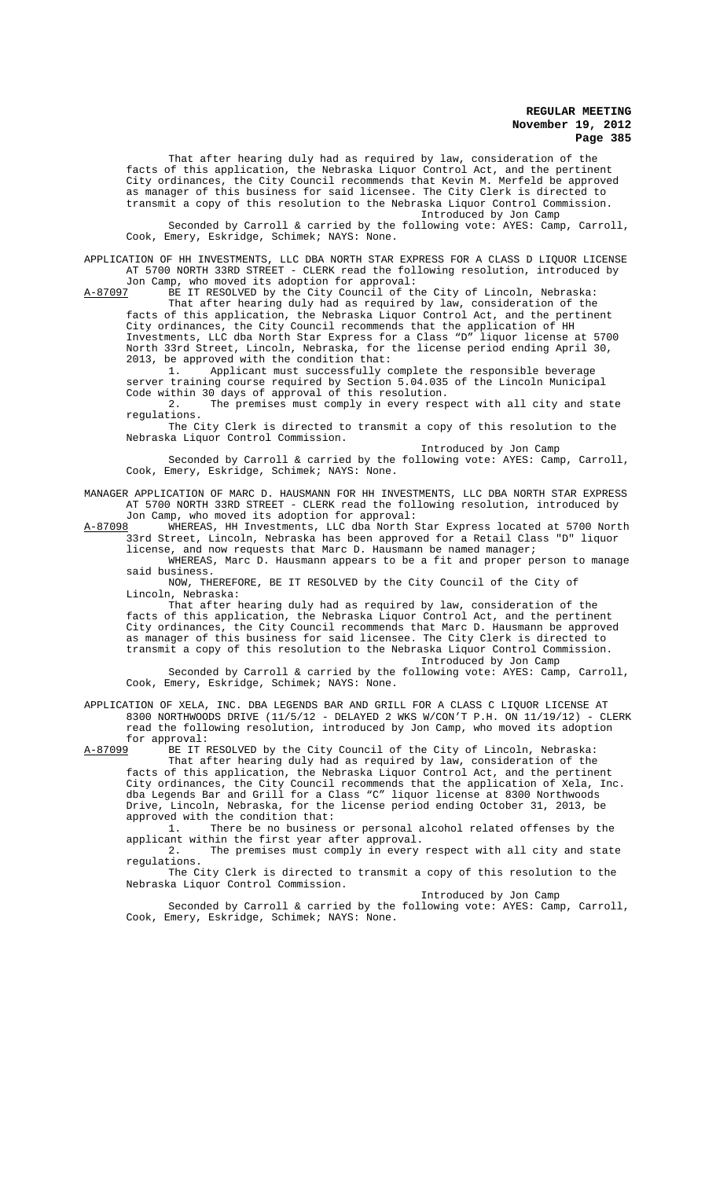That after hearing duly had as required by law, consideration of the facts of this application, the Nebraska Liquor Control Act, and the pertinent City ordinances, the City Council recommends that Kevin M. Merfeld be approved as manager of this business for said licensee. The City Clerk is directed to transmit a copy of this resolution to the Nebraska Liquor Control Commission. Introduced by Jon Camp

Seconded by Carroll & carried by the following vote: AYES: Camp, Carroll, Cook, Emery, Eskridge, Schimek; NAYS: None.

APPLICATION OF HH INVESTMENTS, LLC DBA NORTH STAR EXPRESS FOR A CLASS D LIQUOR LICENSE AT 5700 NORTH 33RD STREET - CLERK read the following resolution, introduced by Jon Camp, who moved its adoption for approval:

A-87097 BE IT RESOLVED by the City Council of the City of Lincoln, Nebraska:

That after hearing duly had as required by law, consideration of the facts of this application, the Nebraska Liquor Control Act, and the pertinent City ordinances, the City Council recommends that the application of HH Investments, LLC dba North Star Express for a Class "D" liquor license at 5700 North 33rd Street, Lincoln, Nebraska, for the license period ending April 30, 2013, be approved with the condition that:

1. Applicant must successfully complete the responsible beverage server training course required by Section 5.04.035 of the Lincoln Municipal Code within 30 days of approval of this resolution.

2. The premises must comply in every respect with all city and state regulations.

The City Clerk is directed to transmit a copy of this resolution to the Nebraska Liquor Control Commission.

Introduced by Jon Camp Seconded by Carroll & carried by the following vote: AYES: Camp, Carroll,

MANAGER APPLICATION OF MARC D. HAUSMANN FOR HH INVESTMENTS, LLC DBA NORTH STAR EXPRESS AT 5700 NORTH 33RD STREET - CLERK read the following resolution, introduced by

Cook, Emery, Eskridge, Schimek; NAYS: None.

Jon Camp, who moved its adoption for approval:<br>A-87098 WHEREAS, HH Investments, LLC dba North S A-87098 WHEREAS, HH Investments, LLC dba North Star Express located at 5700 North 33rd Street, Lincoln, Nebraska has been approved for a Retail Class "D" liquor license, and now requests that Marc D. Hausmann be named manager;

WHEREAS, Marc D. Hausmann appears to be a fit and proper person to manage said business.

NOW, THEREFORE, BE IT RESOLVED by the City Council of the City of Lincoln, Nebraska:

That after hearing duly had as required by law, consideration of the facts of this application, the Nebraska Liquor Control Act, and the pertinent City ordinances, the City Council recommends that Marc D. Hausmann be approved as manager of this business for said licensee. The City Clerk is directed to transmit a copy of this resolution to the Nebraska Liquor Control Commission. Introduced by Jon Camp

Seconded by Carroll & carried by the following vote: AYES: Camp, Carroll, Cook, Emery, Eskridge, Schimek; NAYS: None.

APPLICATION OF XELA, INC. DBA LEGENDS BAR AND GRILL FOR A CLASS C LIQUOR LICENSE AT 8300 NORTHWOODS DRIVE (11/5/12 - DELAYED 2 WKS W/CON'T P.H. ON 11/19/12) - CLERK read the following resolution, introduced by Jon Camp, who moved its adoption for approval:<br>A-87099 BE IT I

BE IT RESOLVED by the City Council of the City of Lincoln, Nebraska:

That after hearing duly had as required by law, consideration of the facts of this application, the Nebraska Liquor Control Act, and the pertinent City ordinances, the City Council recommends that the application of Xela, Inc. dba Legends Bar and Grill for a Class "C" liquor license at 8300 Northwoods Drive, Lincoln, Nebraska, for the license period ending October 31, 2013, be approved with the condition that:<br>1. There be no business

There be no business or personal alcohol related offenses by the applicant within the first year after approval.

2. The premises must comply in every respect with all city and state regulations.

The City Clerk is directed to transmit a copy of this resolution to the Nebraska Liquor Control Commission.

Introduced by Jon Camp

Seconded by Carroll & carried by the following vote: AYES: Camp, Carroll, Cook, Emery, Eskridge, Schimek; NAYS: None.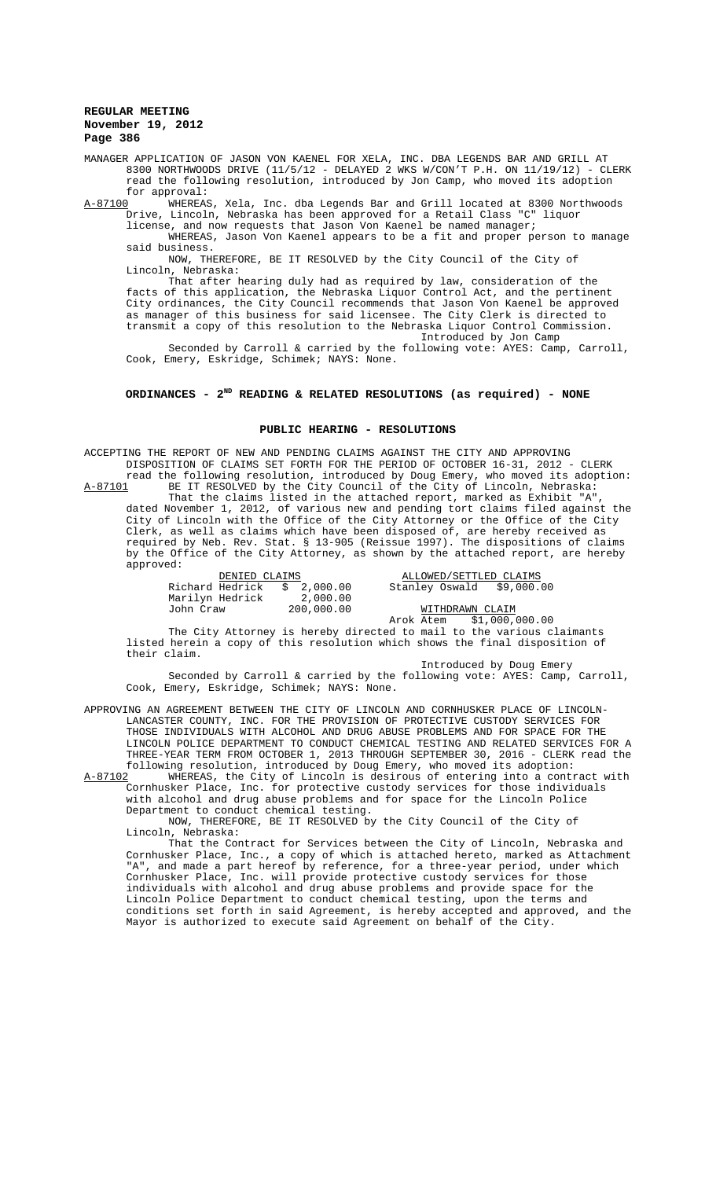MANAGER APPLICATION OF JASON VON KAENEL FOR XELA, INC. DBA LEGENDS BAR AND GRILL AT 8300 NORTHWOODS DRIVE (11/5/12 - DELAYED 2 WKS W/CON'T P.H. ON 11/19/12) - CLERK read the following resolution, introduced by Jon Camp, who moved its adoption for approval:<br>A-87100 WHEREAS

A-87100 WHEREAS, Xela, Inc. dba Legends Bar and Grill located at 8300 Northwoods Drive, Lincoln, Nebraska has been approved for a Retail Class "C" liquor license, and now requests that Jason Von Kaenel be named manager;

WHEREAS, Jason Von Kaenel appears to be a fit and proper person to manage said business.

NOW, THEREFORE, BE IT RESOLVED by the City Council of the City of Lincoln, Nebraska:

That after hearing duly had as required by law, consideration of the facts of this application, the Nebraska Liquor Control Act, and the pertinent City ordinances, the City Council recommends that Jason Von Kaenel be approved as manager of this business for said licensee. The City Clerk is directed to transmit a copy of this resolution to the Nebraska Liquor Control Commission. Introduced by Jon Camp

Seconded by Carroll & carried by the following vote: AYES: Camp, Carroll, Cook, Emery, Eskridge, Schimek; NAYS: None.

# ORDINANCES - 2<sup>ND</sup> READING & RELATED RESOLUTIONS (as required) - NONE

### **PUBLIC HEARING - RESOLUTIONS**

ACCEPTING THE REPORT OF NEW AND PENDING CLAIMS AGAINST THE CITY AND APPROVING DISPOSITION OF CLAIMS SET FORTH FOR THE PERIOD OF OCTOBER 16-31, 2012 - CLERK read the following resolution, introduced by Doug Emery, who moved its adoption:<br>A-87101 BE IT RESOLVED by the City Council of the City of Lincoln, Nebraska: BE IT RESOLVED by the City Council of the City of Lincoln, Nebraska: That the claims listed in the attached report, marked as Exhibit "A", dated November 1, 2012, of various new and pending tort claims filed against the City of Lincoln with the Office of the City Attorney or the Office of the City Clerk, as well as claims which have been disposed of, are hereby received as

required by Neb. Rev. Stat. § 13-905 (Reissue 1997). The dispositions of claims by the Office of the City Attorney, as shown by the attached report, are hereby approved:

| DENIED CLAIMS   |             | ALLOWED/SETTLED CL    |
|-----------------|-------------|-----------------------|
| Richard Hedrick | \$ 2,000.00 | Stanley Oswald<br>S9. |
| Marilyn Hedrick | 2,000.00    |                       |
| John Craw       | 200,000.00  | WITHDRAWN CLAIM       |

<u>ALLOWED/SETTLED CLAIMS</u><br>00 00. Stanley Oswald \$9,000.  $R$   $\frac{1}{\text{c}}$   $\frac{1}{\text{c}}$   $\frac{1}{\text{c}}$   $\frac{1}{\text{c}}$   $\frac{1}{\text{c}}$   $\frac{1}{\text{c}}$   $\frac{1}{\text{c}}$   $\frac{1}{\text{c}}$   $\frac{1}{\text{c}}$   $\frac{1}{\text{c}}$   $\frac{1}{\text{c}}$   $\frac{1}{\text{c}}$   $\frac{1}{\text{c}}$   $\frac{1}{\text{c}}$   $\frac{1}{\text{c}}$   $\frac{1}{\text{c}}$   $\frac{1}{\text{$ 

Arok Atem \$1,000,000.00 The City Attorney is hereby directed to mail to the various claimants listed herein a copy of this resolution which shows the final disposition of their claim.

Introduced by Doug Emery

Seconded by Carroll & carried by the following vote: AYES: Camp, Carroll, Cook, Emery, Eskridge, Schimek; NAYS: None.

APPROVING AN AGREEMENT BETWEEN THE CITY OF LINCOLN AND CORNHUSKER PLACE OF LINCOLN-LANCASTER COUNTY, INC. FOR THE PROVISION OF PROTECTIVE CUSTODY SERVICES FOR THOSE INDIVIDUALS WITH ALCOHOL AND DRUG ABUSE PROBLEMS AND FOR SPACE FOR THE LINCOLN POLICE DEPARTMENT TO CONDUCT CHEMICAL TESTING AND RELATED SERVICES FOR A THREE-YEAR TERM FROM OCTOBER 1, 2013 THROUGH SEPTEMBER 30, 2016 - CLERK read the following resolution, introduced by Doug Emery, who moved its adoption:

A-87102 WHEREAS, the City of Lincoln is desirous of entering into a contract with Cornhusker Place, Inc. for protective custody services for those individuals with alcohol and drug abuse problems and for space for the Lincoln Police Department to conduct chemical testing.

NOW, THEREFORE, BE IT RESOLVED by the City Council of the City of Lincoln, Nebraska:

That the Contract for Services between the City of Lincoln, Nebraska and Cornhusker Place, Inc., a copy of which is attached hereto, marked as Attachment "A", and made a part hereof by reference, for a three-year period, under which Cornhusker Place, Inc. will provide protective custody services for those individuals with alcohol and drug abuse problems and provide space for the Lincoln Police Department to conduct chemical testing, upon the terms and conditions set forth in said Agreement, is hereby accepted and approved, and the Mayor is authorized to execute said Agreement on behalf of the City.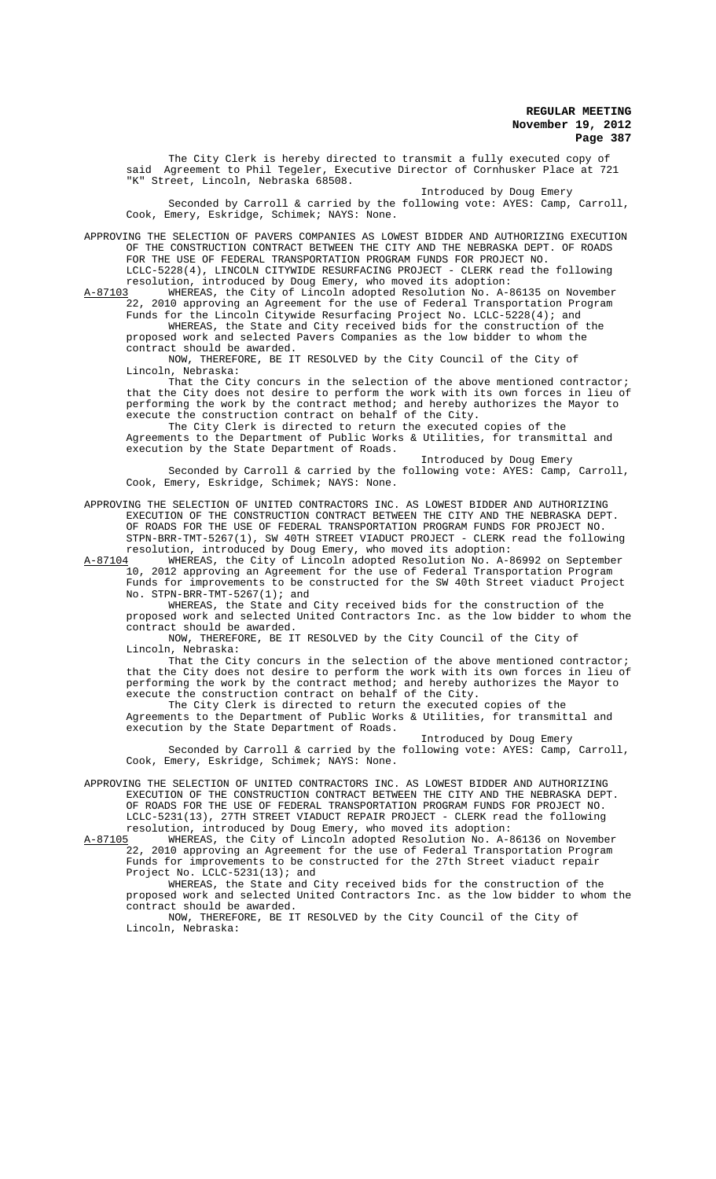The City Clerk is hereby directed to transmit a fully executed copy of said Agreement to Phil Tegeler, Executive Director of Cornhusker Place at 721 Street, Lincoln, Nebraska 68508.

Introduced by Doug Emery Seconded by Carroll & carried by the following vote: AYES: Camp, Carroll, Cook, Emery, Eskridge, Schimek; NAYS: None.

APPROVING THE SELECTION OF PAVERS COMPANIES AS LOWEST BIDDER AND AUTHORIZING EXECUTION OF THE CONSTRUCTION CONTRACT BETWEEN THE CITY AND THE NEBRASKA DEPT. OF ROADS FOR THE USE OF FEDERAL TRANSPORTATION PROGRAM FUNDS FOR PROJECT NO. LCLC-5228(4), LINCOLN CITYWIDE RESURFACING PROJECT - CLERK read the following

resolution, introduced by Doug Emery, who moved its adoption:<br>A-87103 WHEREAS, the City of Lincoln adopted Resolution No. A-8 A-87103 WHEREAS, the City of Lincoln adopted Resolution No. A-86135 on November 22, 2010 approving an Agreement for the use of Federal Transportation Program Funds for the Lincoln Citywide Resurfacing Project No. LCLC-5228(4); and

WHEREAS, the State and City received bids for the construction of the proposed work and selected Pavers Companies as the low bidder to whom the contract should be awarded.

NOW, THEREFORE, BE IT RESOLVED by the City Council of the City of Lincoln, Nebraska:

That the City concurs in the selection of the above mentioned contractor; that the City does not desire to perform the work with its own forces in lieu of performing the work by the contract method; and hereby authorizes the Mayor to execute the construction contract on behalf of the City.

The City Clerk is directed to return the executed copies of the Agreements to the Department of Public Works & Utilities, for transmittal and execution by the State Department of Roads.

Introduced by Doug Emery Seconded by Carroll & carried by the following vote: AYES: Camp, Carroll, Cook, Emery, Eskridge, Schimek; NAYS: None.

APPROVING THE SELECTION OF UNITED CONTRACTORS INC. AS LOWEST BIDDER AND AUTHORIZING EXECUTION OF THE CONSTRUCTION CONTRACT BETWEEN THE CITY AND THE NEBRASKA DEPT. OF ROADS FOR THE USE OF FEDERAL TRANSPORTATION PROGRAM FUNDS FOR PROJECT NO. STPN-BRR-TMT-5267(1), SW 40TH STREET VIADUCT PROJECT - CLERK read the following resolution, introduced by Doug Emery, who moved its adoption:<br>A-87104 WHEREAS, the City of Lincoln adopted Resolution No. A-8

A-87104 MHEREAS, the City of Lincoln adopted Resolution No. A-86992 on September 10, 2012 approving an Agreement for the use of Federal Transportation Program Funds for improvements to be constructed for the SW 40th Street viaduct Project No. STPN-BRR-TMT-5267(1); and

WHEREAS, the State and City received bids for the construction of the proposed work and selected United Contractors Inc. as the low bidder to whom the contract should be awarded.

NOW, THEREFORE, BE IT RESOLVED by the City Council of the City of Lincoln, Nebraska:

That the City concurs in the selection of the above mentioned contractor; that the City does not desire to perform the work with its own forces in lieu of performing the work by the contract method; and hereby authorizes the Mayor to execute the construction contract on behalf of the City.

The City Clerk is directed to return the executed copies of the Agreements to the Department of Public Works & Utilities, for transmittal and execution by the State Department of Roads.

Introduced by Doug Emery Seconded by Carroll & carried by the following vote: AYES: Camp, Carroll, Cook, Emery, Eskridge, Schimek; NAYS: None.

APPROVING THE SELECTION OF UNITED CONTRACTORS INC. AS LOWEST BIDDER AND AUTHORIZING EXECUTION OF THE CONSTRUCTION CONTRACT BETWEEN THE CITY AND THE NEBRASKA DEPT. OF ROADS FOR THE USE OF FEDERAL TRANSPORTATION PROGRAM FUNDS FOR PROJECT NO. LCLC-5231(13), 27TH STREET VIADUCT REPAIR PROJECT - CLERK read the following resolution, introduced by Doug Emery, who moved its adoption:<br>A-87105 WHEREAS, the City of Lincoln adopted Resolution No. A-8

WHEREAS, the City of Lincoln adopted Resolution No. A-86136 on November 22, 2010 approving an Agreement for the use of Federal Transportation Program Funds for improvements to be constructed for the 27th Street viaduct repair Project No. LCLC-5231(13); and

WHEREAS, the State and City received bids for the construction of the proposed work and selected United Contractors Inc. as the low bidder to whom the contract should be awarded.

NOW, THEREFORE, BE IT RESOLVED by the City Council of the City of Lincoln, Nebraska: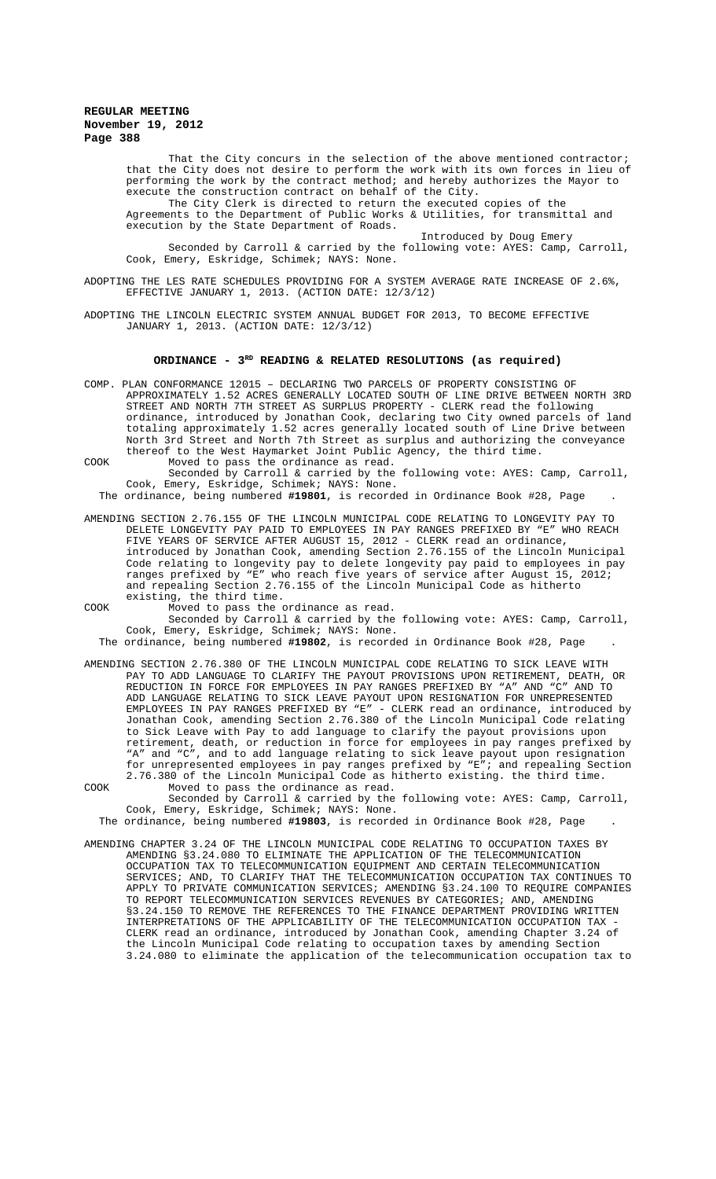That the City concurs in the selection of the above mentioned contractor; that the City does not desire to perform the work with its own forces in lieu of performing the work by the contract method; and hereby authorizes the Mayor to execute the construction contract on behalf of the City.

The City Clerk is directed to return the executed copies of the Agreements to the Department of Public Works & Utilities, for transmittal and execution by the State Department of Roads.

Introduced by Doug Emery Seconded by Carroll & carried by the following vote: AYES: Camp, Carroll, Cook, Emery, Eskridge, Schimek; NAYS: None.

ADOPTING THE LES RATE SCHEDULES PROVIDING FOR A SYSTEM AVERAGE RATE INCREASE OF 2.6%, EFFECTIVE JANUARY 1, 2013. (ACTION DATE: 12/3/12)

ADOPTING THE LINCOLN ELECTRIC SYSTEM ANNUAL BUDGET FOR 2013, TO BECOME EFFECTIVE JANUARY 1, 2013. (ACTION DATE: 12/3/12)

### ORDINANCE - 3<sup>RD</sup> READING & RELATED RESOLUTIONS (as required)

- COMP. PLAN CONFORMANCE 12015 DECLARING TWO PARCELS OF PROPERTY CONSISTING OF APPROXIMATELY 1.52 ACRES GENERALLY LOCATED SOUTH OF LINE DRIVE BETWEEN NORTH 3RD STREET AND NORTH 7TH STREET AS SURPLUS PROPERTY - CLERK read the following ordinance, introduced by Jonathan Cook, declaring two City owned parcels of land totaling approximately 1.52 acres generally located south of Line Drive between North 3rd Street and North 7th Street as surplus and authorizing the conveyance thereof to the West Haymarket Joint Public Agency, the third time.
- COOK Moved to pass the ordinance as read. Seconded by Carroll & carried by the following vote: AYES: Camp, Carroll, Cook, Emery, Eskridge, Schimek; NAYS: None.

The ordinance, being numbered **#19801**, is recorded in Ordinance Book #28, Page .

AMENDING SECTION 2.76.155 OF THE LINCOLN MUNICIPAL CODE RELATING TO LONGEVITY PAY TO DELETE LONGEVITY PAY PAID TO EMPLOYEES IN PAY RANGES PREFIXED BY "E" WHO REACH FIVE YEARS OF SERVICE AFTER AUGUST 15, 2012 - CLERK read an ordinance, introduced by Jonathan Cook, amending Section 2.76.155 of the Lincoln Municipal Code relating to longevity pay to delete longevity pay paid to employees in pay ranges prefixed by "E" who reach five years of service after August 15, 2012; and repealing Section 2.76.155 of the Lincoln Municipal Code as hitherto existing, the third time.

COOK Moved to pass the ordinance as read.

Seconded by Carroll & carried by the following vote: AYES: Camp, Carroll, Cook, Emery, Eskridge, Schimek; NAYS: None.

The ordinance, being numbered **#19802**, is recorded in Ordinance Book #28, Page .

- AMENDING SECTION 2.76.380 OF THE LINCOLN MUNICIPAL CODE RELATING TO SICK LEAVE WITH PAY TO ADD LANGUAGE TO CLARIFY THE PAYOUT PROVISIONS UPON RETIREMENT, DEATH, OR TO ADD LANGUAGE TO CLARIFY THE PAYOUT PROVISIONS UPON RETIREMENT, REDUCTION IN FORCE FOR EMPLOYEES IN PAY RANGES PREFIXED BY "A" AND "C" AND TO ADD LANGUAGE RELATING TO SICK LEAVE PAYOUT UPON RESIGNATION FOR UNREPRESENTED EMPLOYEES IN PAY RANGES PREFIXED BY "E" - CLERK read an ordinance, introduced by Jonathan Cook, amending Section 2.76.380 of the Lincoln Municipal Code relating to Sick Leave with Pay to add language to clarify the payout provisions upon retirement, death, or reduction in force for employees in pay ranges prefixed by "A" and "C", and to add language relating to sick leave payout upon resignation for unrepresented employees in pay ranges prefixed by "E"; and repealing Section 2.76.380 of the Lincoln Municipal Code as hitherto existing. the third time. COOK Moved to pass the ordinance as read.
- Seconded by Carroll & carried by the following vote: AYES: Camp, Carroll, Cook, Emery, Eskridge, Schimek; NAYS: None.

The ordinance, being numbered **#19803**, is recorded in Ordinance Book #28, Page .

AMENDING CHAPTER 3.24 OF THE LINCOLN MUNICIPAL CODE RELATING TO OCCUPATION TAXES BY AMENDING §3.24.080 TO ELIMINATE THE APPLICATION OF THE TELECOMMUNICATION OCCUPATION TAX TO TELECOMMUNICATION EQUIPMENT AND CERTAIN TELECOMMUNICATION SERVICES; AND, TO CLARIFY THAT THE TELECOMMUNICATION OCCUPATION TAX CONTINUES TO APPLY TO PRIVATE COMMUNICATION SERVICES; AMENDING §3.24.100 TO REQUIRE COMPANIES TO REPORT TELECOMMUNICATION SERVICES REVENUES BY CATEGORIES; AND, AMENDING §3.24.150 TO REMOVE THE REFERENCES TO THE FINANCE DEPARTMENT PROVIDING WRITTEN INTERPRETATIONS OF THE APPLICABILITY OF THE TELECOMMUNICATION OCCUPATION TAX - CLERK read an ordinance, introduced by Jonathan Cook, amending Chapter 3.24 of the Lincoln Municipal Code relating to occupation taxes by amending Section 3.24.080 to eliminate the application of the telecommunication occupation tax to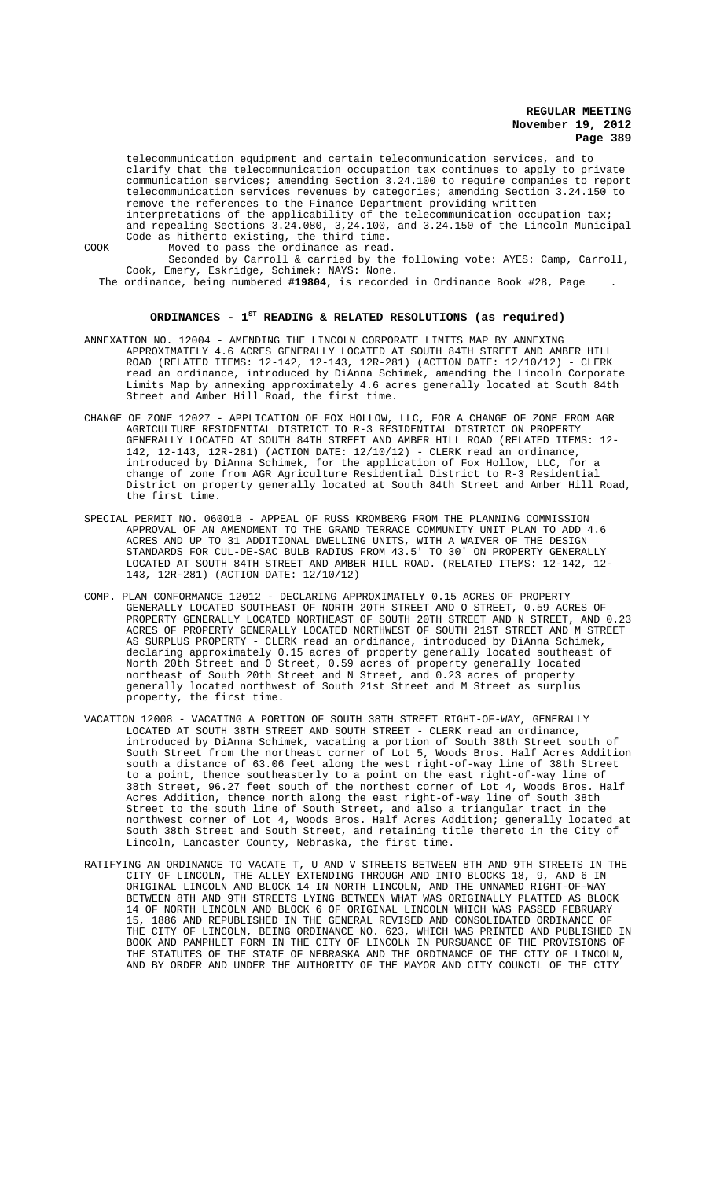telecommunication equipment and certain telecommunication services, and to clarify that the telecommunication occupation tax continues to apply to private communication services; amending Section 3.24.100 to require companies to report telecommunication services revenues by categories; amending Section 3.24.150 to remove the references to the Finance Department providing written

interpretations of the applicability of the telecommunication occupation tax; and repealing Sections 3.24.080, 3,24.100, and 3.24.150 of the Lincoln Municipal Code as hitherto existing, the third time. COOK Moved to pass the ordinance as read.

Seconded by Carroll & carried by the following vote: AYES: Camp, Carroll, Cook, Emery, Eskridge, Schimek; NAYS: None.

The ordinance, being numbered **#19804**, is recorded in Ordinance Book #28, Page .

### **ORDINANCES - 1ST READING & RELATED RESOLUTIONS (as required)**

- ANNEXATION NO. 12004 AMENDING THE LINCOLN CORPORATE LIMITS MAP BY ANNEXING APPROXIMATELY 4.6 ACRES GENERALLY LOCATED AT SOUTH 84TH STREET AND AMBER HILL ROAD (RELATED ITEMS: 12-142, 12-143, 12R-281) (ACTION DATE: 12/10/12) - CLERK read an ordinance, introduced by DiAnna Schimek, amending the Lincoln Corporate Limits Map by annexing approximately 4.6 acres generally located at South 84th Street and Amber Hill Road, the first time.
- CHANGE OF ZONE 12027 APPLICATION OF FOX HOLLOW, LLC, FOR A CHANGE OF ZONE FROM AGR AGRICULTURE RESIDENTIAL DISTRICT TO R-3 RESIDENTIAL DISTRICT ON PROPERTY GENERALLY LOCATED AT SOUTH 84TH STREET AND AMBER HILL ROAD (RELATED ITEMS: 12- 142, 12-143, 12R-281) (ACTION DATE: 12/10/12) - CLERK read an ordinance, introduced by DiAnna Schimek, for the application of Fox Hollow, LLC, for a change of zone from AGR Agriculture Residential District to R-3 Residential District on property generally located at South 84th Street and Amber Hill Road, the first time.
- SPECIAL PERMIT NO. 06001B APPEAL OF RUSS KROMBERG FROM THE PLANNING COMMISSION APPROVAL OF AN AMENDMENT TO THE GRAND TERRACE COMMUNITY UNIT PLAN TO ADD 4.6 ACRES AND UP TO 31 ADDITIONAL DWELLING UNITS, WITH A WAIVER OF THE DESIGN STANDARDS FOR CUL-DE-SAC BULB RADIUS FROM 43.5' TO 30' ON PROPERTY GENERALLY LOCATED AT SOUTH 84TH STREET AND AMBER HILL ROAD. (RELATED ITEMS: 12-142, 12- 143, 12R-281) (ACTION DATE: 12/10/12)
- COMP. PLAN CONFORMANCE 12012 DECLARING APPROXIMATELY 0.15 ACRES OF PROPERTY GENERALLY LOCATED SOUTHEAST OF NORTH 20TH STREET AND O STREET, 0.59 ACRES OF PROPERTY GENERALLY LOCATED NORTHEAST OF SOUTH 20TH STREET AND N STREET, AND 0.23 ACRES OF PROPERTY GENERALLY LOCATED NORTHWEST OF SOUTH 21ST STREET AND M STREET AS SURPLUS PROPERTY - CLERK read an ordinance, introduced by DiAnna Schimek, declaring approximately 0.15 acres of property generally located southeast of North 20th Street and O Street, 0.59 acres of property generally located northeast of South 20th Street and N Street, and 0.23 acres of property generally located northwest of South 21st Street and M Street as surplus property, the first time.
- VACATION 12008 VACATING A PORTION OF SOUTH 38TH STREET RIGHT-OF-WAY, GENERALLY LOCATED AT SOUTH 38TH STREET AND SOUTH STREET - CLERK read an ordinance, introduced by DiAnna Schimek, vacating a portion of South 38th Street south of South Street from the northeast corner of Lot 5, Woods Bros. Half Acres Addition south a distance of 63.06 feet along the west right-of-way line of 38th Street to a point, thence southeasterly to a point on the east right-of-way line of 38th Street, 96.27 feet south of the northest corner of Lot 4, Woods Bros. Half Acres Addition, thence north along the east right-of-way line of South 38th Street to the south line of South Street, and also a triangular tract in the northwest corner of Lot 4, Woods Bros. Half Acres Addition; generally located at South 38th Street and South Street, and retaining title thereto in the City of Lincoln, Lancaster County, Nebraska, the first time.
- RATIFYING AN ORDINANCE TO VACATE T, U AND V STREETS BETWEEN 8TH AND 9TH STREETS IN THE CITY OF LINCOLN, THE ALLEY EXTENDING THROUGH AND INTO BLOCKS 18, 9, AND 6 IN ORIGINAL LINCOLN AND BLOCK 14 IN NORTH LINCOLN, AND THE UNNAMED RIGHT-OF-WAY BETWEEN 8TH AND 9TH STREETS LYING BETWEEN WHAT WAS ORIGINALLY PLATTED AS BLOCK 14 OF NORTH LINCOLN AND BLOCK 6 OF ORIGINAL LINCOLN WHICH WAS PASSED FEBRUARY 15, 1886 AND REPUBLISHED IN THE GENERAL REVISED AND CONSOLIDATED ORDINANCE OF THE CITY OF LINCOLN, BEING ORDINANCE NO. 623, WHICH WAS PRINTED AND PUBLISHED IN BOOK AND PAMPHLET FORM IN THE CITY OF LINCOLN IN PURSUANCE OF THE PROVISIONS OF THE STATUTES OF THE STATE OF NEBRASKA AND THE ORDINANCE OF THE CITY OF LINCOLN, AND BY ORDER AND UNDER THE AUTHORITY OF THE MAYOR AND CITY COUNCIL OF THE CITY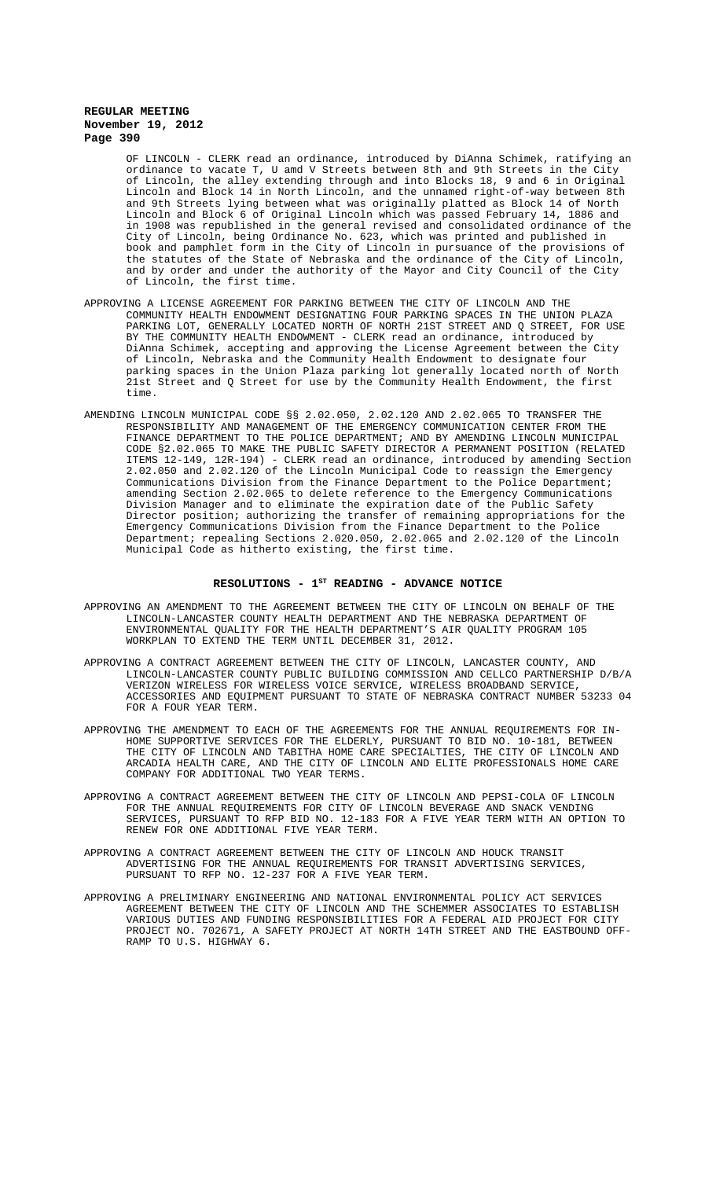OF LINCOLN - CLERK read an ordinance, introduced by DiAnna Schimek, ratifying an ordinance to vacate T, U amd V Streets between 8th and 9th Streets in the City of Lincoln, the alley extending through and into Blocks 18, 9 and 6 in Original Lincoln and Block 14 in North Lincoln, and the unnamed right-of-way between 8th and 9th Streets lying between what was originally platted as Block 14 of North Lincoln and Block 6 of Original Lincoln which was passed February 14, 1886 and in 1908 was republished in the general revised and consolidated ordinance of the City of Lincoln, being Ordinance No. 623, which was printed and published in book and pamphlet form in the City of Lincoln in pursuance of the provisions of the statutes of the State of Nebraska and the ordinance of the City of Lincoln, and by order and under the authority of the Mayor and City Council of the City of Lincoln, the first time.

- APPROVING A LICENSE AGREEMENT FOR PARKING BETWEEN THE CITY OF LINCOLN AND THE COMMUNITY HEALTH ENDOWMENT DESIGNATING FOUR PARKING SPACES IN THE UNION PLAZA PARKING LOT, GENERALLY LOCATED NORTH OF NORTH 21ST STREET AND Q STREET, FOR USE BY THE COMMUNITY HEALTH ENDOWMENT - CLERK read an ordinance, introduced by DiAnna Schimek, accepting and approving the License Agreement between the City of Lincoln, Nebraska and the Community Health Endowment to designate four parking spaces in the Union Plaza parking lot generally located north of North 21st Street and Q Street for use by the Community Health Endowment, the first time.
- AMENDING LINCOLN MUNICIPAL CODE §§ 2.02.050, 2.02.120 AND 2.02.065 TO TRANSFER THE RESPONSIBILITY AND MANAGEMENT OF THE EMERGENCY COMMUNICATION CENTER FROM THE FINANCE DEPARTMENT TO THE POLICE DEPARTMENT; AND BY AMENDING LINCOLN MUNICIPAL CODE §2.02.065 TO MAKE THE PUBLIC SAFETY DIRECTOR A PERMANENT POSITION (RELATED ITEMS 12-149, 12R-194) - CLERK read an ordinance, introduced by amending Section 2.02.050 and 2.02.120 of the Lincoln Municipal Code to reassign the Emergency Communications Division from the Finance Department to the Police Department; amending Section 2.02.065 to delete reference to the Emergency Communications Division Manager and to eliminate the expiration date of the Public Safety Director position; authorizing the transfer of remaining appropriations for the Emergency Communications Division from the Finance Department to the Police Department; repealing Sections 2.020.050, 2.02.065 and 2.02.120 of the Lincoln Municipal Code as hitherto existing, the first time.

## RESOLUTIONS -  $1^{ST}$  READING - ADVANCE NOTICE

- APPROVING AN AMENDMENT TO THE AGREEMENT BETWEEN THE CITY OF LINCOLN ON BEHALF OF THE LINCOLN-LANCASTER COUNTY HEALTH DEPARTMENT AND THE NEBRASKA DEPARTMENT OF ENVIRONMENTAL QUALITY FOR THE HEALTH DEPARTMENT'S AIR QUALITY PROGRAM 105 WORKPLAN TO EXTEND THE TERM UNTIL DECEMBER 31, 2012.
- APPROVING A CONTRACT AGREEMENT BETWEEN THE CITY OF LINCOLN, LANCASTER COUNTY, AND LINCOLN-LANCASTER COUNTY PUBLIC BUILDING COMMISSION AND CELLCO PARTNERSHIP D/B/A VERIZON WIRELESS FOR WIRELESS VOICE SERVICE, WIRELESS BROADBAND SERVICE, ACCESSORIES AND EQUIPMENT PURSUANT TO STATE OF NEBRASKA CONTRACT NUMBER 53233 04 FOR A FOUR YEAR TERM.
- APPROVING THE AMENDMENT TO EACH OF THE AGREEMENTS FOR THE ANNUAL REQUIREMENTS FOR IN-HOME SUPPORTIVE SERVICES FOR THE ELDERLY, PURSUANT TO BID NO. 10-181, BETWEEN THE CITY OF LINCOLN AND TABITHA HOME CARE SPECIALTIES, THE CITY OF LINCOLN AND ARCADIA HEALTH CARE, AND THE CITY OF LINCOLN AND ELITE PROFESSIONALS HOME CARE COMPANY FOR ADDITIONAL TWO YEAR TERMS.
- APPROVING A CONTRACT AGREEMENT BETWEEN THE CITY OF LINCOLN AND PEPSI-COLA OF LINCOLN FOR THE ANNUAL REQUIREMENTS FOR CITY OF LINCOLN BEVERAGE AND SNACK VENDING SERVICES, PURSUANT TO RFP BID NO. 12-183 FOR A FIVE YEAR TERM WITH AN OPTION TO RENEW FOR ONE ADDITIONAL FIVE YEAR TERM.
- APPROVING A CONTRACT AGREEMENT BETWEEN THE CITY OF LINCOLN AND HOUCK TRANSIT ADVERTISING FOR THE ANNUAL REQUIREMENTS FOR TRANSIT ADVERTISING SERVICES, PURSUANT TO RFP NO. 12-237 FOR A FIVE YEAR TERM.
- APPROVING A PRELIMINARY ENGINEERING AND NATIONAL ENVIRONMENTAL POLICY ACT SERVICES AGREEMENT BETWEEN THE CITY OF LINCOLN AND THE SCHEMMER ASSOCIATES TO ESTABLISH VARIOUS DUTIES AND FUNDING RESPONSIBILITIES FOR A FEDERAL AID PROJECT FOR CITY PROJECT NO. 702671, A SAFETY PROJECT AT NORTH 14TH STREET AND THE EASTBOUND OFF-RAMP TO U.S. HIGHWAY 6.